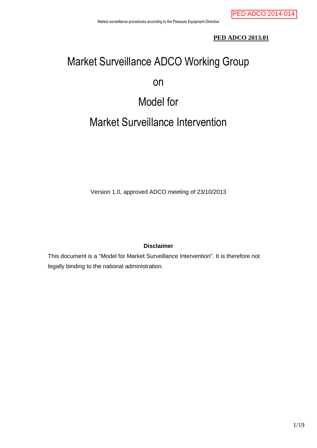## **PED ADCO 2013.01**

# Market Surveillance ADCO Working Group

## on

## Model for

## Market Surveillance Intervention

Version 1.0, approved ADCO meeting of 23/10/2013

## **Disclaimer**

This document is a "Model for Market Surveillance Intervention". It is therefore not legally binding to the national administration.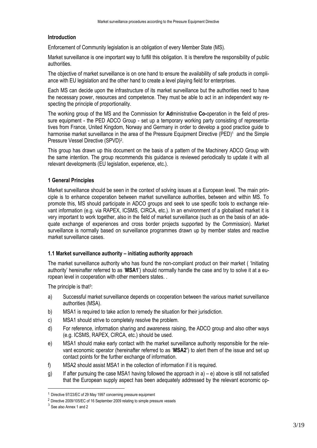## **Introduction**

Enforcement of Community legislation is an obligation of every Member State (MS).

Market surveillance is one important way to fulfill this obligation. It is therefore the responsibility of public authorities.

The objective of market surveillance is on one hand to ensure the availability of safe products in compliance with EU legislation and the other hand to create a level playing field for enterprises.

Each MS can decide upon the infrastructure of its market surveillance but the authorities need to have the necessary power, resources and competence. They must be able to act in an independent way respecting the principle of proportionality.

The working group of the MS and the Commission for **Ad**ministrative **Co-**operation in the field of pressure equipment - the PED ADCO Group - set up a temporary working party consisting of representatives from France, United Kingdom, Norway and Germany in order to develop a good practice guide to harmonise market surveillance in the area of the Pressure Equipment Directive (PED)<sup>1</sup> and the Simple Pressure Vessel Directive (SPVD)<sup>2</sup> .

This group has drawn up this document on the basis of a pattern of the Machinery ADCO Group with the same intention. The group recommends this guidance is reviewed periodically to update it with all relevant developments (EU legislation, experience, etc.).

## **1 General Principles**

Market surveillance should be seen in the context of solving issues at a European level. The main principle is to enhance cooperation between market surveillance authorities, between and within MS. To promote this, MS should participate in ADCO groups and seek to use specific tools to exchange relevant information (e.g. via RAPEX, ICSMS, CIRCA, etc.). In an environment of a globalised market it is very important to work together, also in the field of market surveillance (such as on the basis of an adequate exchange of experiences and cross border projects supported by the Commission). Market surveillance is normally based on surveillance programmes drawn up by member states and reactive market surveillance cases.

## **1.1 Market surveillance authority – initiating authority approach**

The market surveillance authority who has found the non-compliant product on their market ( 'Initiating authority' hereinafter referred to as '**MSA1**') should normally handle the case and try to solve it at a european level in cooperation with other members states. .

The principle is that $3$ :

- a) Successful market surveillance depends on cooperation between the various market surveillance authorities (MSA).
- b) MSA1 is required to take action to remedy the situation for their jurisdiction.
- c) MSA1 should strive to completely resolve the problem.
- d) For reference, information sharing and awareness raising, the ADCO group and also other ways (e.g. ICSMS, RAPEX, CIRCA, etc.) should be used.
- e) MSA1 should make early contact with the market surveillance authority responsible for the relevant economic operator (hereinafter referred to as '**MSA2'**) to alert them of the issue and set up contact points for the further exchange of information.
- f) MSA2 should assist MSA1 in the collection of information if it is required.
- g) If after pursuing the case MSA1 having followed the approach in  $a$ ) e) above is still not satisfied that the European supply aspect has been adequately addressed by the relevant economic op-

1

<sup>1</sup> Directive 97/23/EC of 29 May 1997 concerning pressure equipment

<sup>2</sup> Directive 2009/105/EC of 16 September 2009 relating to simple pressure vessels

 $3$  See also Annex 1 and 2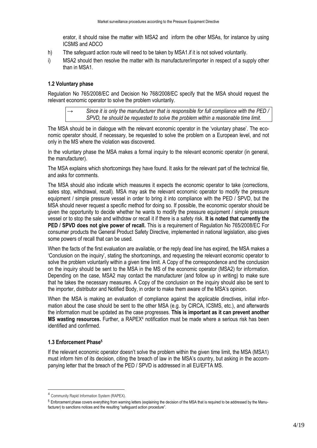erator, it should raise the matter with MSA2 and inform the other MSAs, for instance by using ICSMS and ADCO

- h) Tthe safeguard action route will need to be taken by MSA1.if it is not solved voluntarily.
- i) MSA2 should then resolve the matter with its manufacturer/importer in respect of a supply other than in MSA1.

#### **1.2 Voluntary phase**

Regulation No 765/2008/EC and Decision No 768/2008/EC specify that the MSA should request the relevant economic operator to solve the problem voluntarily.

→ *Since it is only the manufacturer that is responsible for full compliance with the PED / SPVD, he should be requested to solve the problem within a reasonable time limit.*

The MSA should be in dialogue with the relevant economic operator in the 'voluntary phase'. The economic operator should, if necessary, be requested to solve the problem on a European level, and not only in the MS where the violation was discovered.

In the voluntary phase the MSA makes a formal inquiry to the relevant economic operator (in general, the manufacturer).

The MSA explains which shortcomings they have found. It asks for the relevant part of the technical file, and asks for comments.

The MSA should also indicate which measures it expects the economic operator to take (corrections, sales stop, withdrawal, recall). MSA may ask the relevant economic operator to modify the pressure equipment / simple pressure vessel in order to bring it into compliance with the PED / SPVD, but the MSA should never request a specific method for doing so. If possible, the economic operator should be given the opportunity to decide whether he wants to modify the pressure equipment / simple pressure vessel or to stop the sale and withdraw or recall it if there is a safety risk. **It is noted that currently the PED / SPVD does not give power of recall.** This is a requirement of Regulation No 765/2008/EC For consumer products the General Product Safety Directive, implemented in national legislation, also gives some powers of recall that can be used.

When the facts of the first evaluation are available, or the reply dead line has expired, the MSA makes a 'Conclusion on the inquiry', stating the shortcomings, and requesting the relevant economic operator to solve the problem voluntarily within a given time limit. A Copy of the correspondence and the conclusion on the inquiry should be sent to the MSA in the MS of the economic operator (MSA2) for information. Depending on the case, MSA2 may contact the manufacturer (and follow up in writing) to make sure that he takes the necessary measures. A Copy of the conclusion on the inquiry should also be sent to the importer, distributor and Notified Body, in order to make them aware of the MSA's opinion.

When the MSA is making an evaluation of compliance against the applicable directives, initial information about the case should be sent to the other MSA (e.g. by CIRCA, ICSMS, etc.), and afterwards the information must be updated as the case progresses. **This is important as it can prevent another MS wasting resources.** Further, a RAPEX<sup>4</sup> notification must be made where a serious risk has been identified and confirmed.

## **1.3 Enforcement Phase<sup>5</sup>**

1

If the relevant economic operator doesn't solve the problem within the given time limit, the MSA (MSA1) must inform him of its decision, citing the breach of law in the MSA's country, but asking in the accompanying letter that the breach of the PED / SPVD is addressed in all EU/EFTA MS.

<sup>4</sup> Community Rapid Information System (RAPEX).

<sup>5</sup> Enforcement phase covers everything from warning letters (explaining the decision of the MSA that is required to be addressed by the Manufacturer) to sanctions notices and the resulting "safeguard action procedure".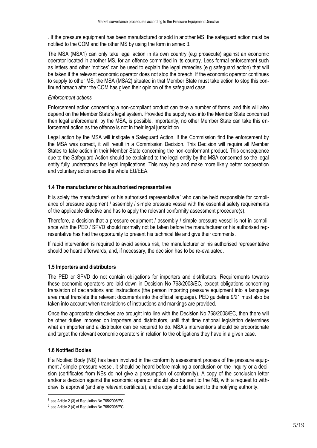. If the pressure equipment has been manufactured or sold in another MS, the safeguard action must be notified to the COM and the other MS by using the form in annex 3.

The MSA (MSA1) can only take legal action in its own country (e.g prosecute) against an economic operator located in another MS, for an offence committed in its country. Less formal enforcement such as letters and other 'notices' can be used to explain the legal remedies (e.g safeguard action) that will be taken if the relevant economic operator does not stop the breach. If the economic operator continues to supply to other MS, the MSA (MSA2) situated in that Member State must take action to stop this continued breach after the COM has given their opinion of the safeguard case.

#### *Enforcement actions*

Enforcement action concerning a non-compliant product can take a number of forms, and this will also depend on the Member State's legal system. Provided the supply was into the Member State concerned then legal enforcement, by the MSA, is possible. Importantly, no other Member State can take this enforcement action as the offence is not in their legal jurisdiction

Legal action by the MSA will instigate a Safeguard Action. If the Commission find the enforcement by the MSA was correct, it will result in a Commission Decision. This Decision will require all Member States to take action in their Member State concerning the non-conformant product. This consequence due to the Safeguard Action should be explained to the legal entity by the MSA concerned so the legal entity fully understands the legal implications. This may help and make more likely better cooperation and voluntary action across the whole EU/EEA.

#### **1.4 The manufacturer or his authorised representative**

It is solely the manufacturer<sup>6</sup> or his authorised representative<sup>7</sup> who can be held responsible for compliance of pressure equipment / assembly / simple pressure vessel with the essential safety requirements of the applicable directive and has to apply the relevant conformity assessment procedure(s).

Therefore, a decision that a pressure equipment / assembly / simple pressure vessel is not in compliance with the PED / SPVD should normally not be taken before the manufacturer or his authorised representative has had the opportunity to present his technical file and give their comments.

If rapid intervention is required to avoid serious risk, the manufacturer or his authorised representative should be heard afterwards, and, if necessary, the decision has to be re-evaluated.

#### **1.5 Importers and distributors**

The PED or SPVD do not contain obligations for importers and distributors. Requirements towards these economic operators are laid down in Decision No 768/2008/EC, except obligations concerning translation of declarations and instructions (the person importing pressure equipment into a language area must translate the relevant documents into the official language). PED guideline 9/21 must also be taken into account when translations of instructions and markings are provided.

Once the appropriate directives are brought into line with the Decision No 768/2008/EC, then there will be other duties imposed on importers and distributors, until that time national legislation determines what an importer and a distributor can be required to do. MSA's interventions should be proportionate and target the relevant economic operators in relation to the obligations they have in a given case.

## **1.6 Notified Bodies**

1

If a Notified Body (NB) has been involved in the conformity assessment process of the pressure equipment / simple pressure vessel, it should be heard before making a conclusion on the inquiry or a decision (certificates from NBs do not give a presumption of conformity). A copy of the conclusion letter and/or a decision against the economic operator should also be sent to the NB, with a request to withdraw its approval (and any relevant certificate), and a copy should be sent to the notifying authority.

<sup>6</sup> see Article 2 (3) of Regulation No 765/2008/EC

<sup>&</sup>lt;sup>7</sup> see Article 2 (4) of Regulation No 765/2008/EC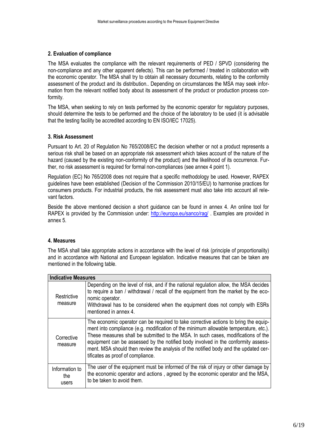## **2. Evaluation of compliance**

The MSA evaluates the compliance with the relevant requirements of PED / SPVD (considering the non-compliance and any other apparent defects). This can be performed / treated in collaboration with the economic operator. The MSA shall try to obtain all necessary documents, relating to the conformity assessment of the product and its distribution.. Depending on circumstances the MSA may seek information from the relevant notified body about its assessment of the product or production process conformity.

The MSA, when seeking to rely on tests performed by the economic operator for regulatory purposes, should determine the tests to be performed and the choice of the laboratory to be used (it is advisable that the testing facility be accredited according to EN ISO/IEC 17025).

#### **3. Risk Assessment**

Pursuant to Art. 20 of Regulation No 765/2008/EC the decision whether or not a product represents a serious risk shall be based on an appropriate risk assessment which takes account of the nature of the hazard (caused by the existing non-conformity of the product) and the likelihood of its occurrence. Further, no risk assessment is required for formal non-compliances (see annex 4 point 1).

Regulation (EC) No 765/2008 does not require that a specific methodology be used. However, RAPEX guidelines have been established (Decision of the Commission 2010/15/EU) to harmonise practices for consumers products. For industrial products, the risk assessment must also take into account all relevant factors.

Beside the above mentioned decision a short guidance can be found in annex 4. An online tool for RAPEX is provided by the Commission under:<http://europa.eu/sanco/rag/> . Examples are provided in annex 5.

## **4. Measures**

The MSA shall take appropriate actions in accordance with the level of risk (principle of proportionality) and in accordance with National and European legislation. Indicative measures that can be taken are mentioned in the following table.

| <b>Indicative Measures</b>     |                                                                                                                                                                                                                                                                                                                                                                                                                                                                                    |
|--------------------------------|------------------------------------------------------------------------------------------------------------------------------------------------------------------------------------------------------------------------------------------------------------------------------------------------------------------------------------------------------------------------------------------------------------------------------------------------------------------------------------|
| Restrictive<br>measure         | Depending on the level of risk, and if the national regulation allow, the MSA decides<br>to require a ban / withdrawal / recall of the equipment from the market by the eco-<br>nomic operator.<br>Withdrawal has to be considered when the equipment does not comply with ESRs<br>mentioned in annex 4.                                                                                                                                                                           |
| Corrective<br>measure          | The economic operator can be required to take corrective actions to bring the equip-<br>ment into compliance (e.g. modification of the minimum allowable temperature, etc.).<br>These measures shall be submitted to the MSA. In such cases, modifications of the<br>equipment can be assessed by the notified body involved in the conformity assess-<br>ment. MSA should then review the analysis of the notified body and the updated cer-<br>tificates as proof of compliance. |
| Information to<br>the<br>users | The user of the equipment must be informed of the risk of injury or other damage by<br>the economic operator and actions, agreed by the economic operator and the MSA,<br>to be taken to avoid them.                                                                                                                                                                                                                                                                               |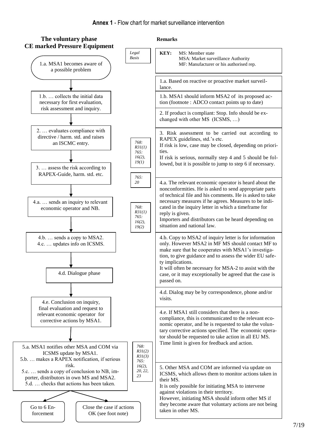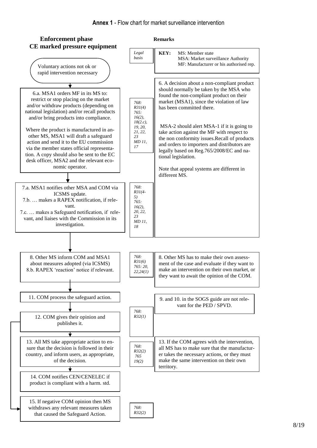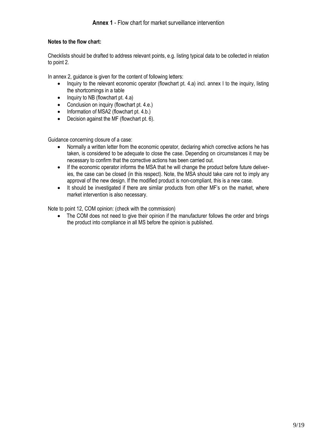## **Notes to the flow chart:**

Checklists should be drafted to address relevant points, e.g. listing typical data to be collected in relation to point 2.

In annex 2, guidance is given for the content of following letters:

- Inquiry to the relevant economic operator (flowchart pt. 4.a) incl. annex I to the inquiry, listing the shortcomings in a table
- $\bullet$  Inquiry to NB (flowchart pt. 4.a)
- Conclusion on inquiry (flowchart pt. 4.e.)
- Information of MSA2 (flowchart pt. 4.b.)
- Decision against the MF (flowchart pt. 6).

Guidance concerning closure of a case:

- Normally a written letter from the economic operator, declaring which corrective actions he has taken, is considered to be adequate to close the case. Depending on circumstances it may be necessary to confirm that the corrective actions has been carried out.
- If the economic operator informs the MSA that he will change the product before future deliveries, the case can be closed (in this respect). Note, the MSA should take care not to imply any approval of the new design. If the modified product is non-compliant, this is a new case.
- It should be investigated if there are similar products from other MF's on the market, where market intervention is also necessary.

Note to point 12, COM opinion: (check with the commission)

• The COM does not need to give their opinion if the manufacturer follows the order and brings the product into compliance in all MS before the opinion is published.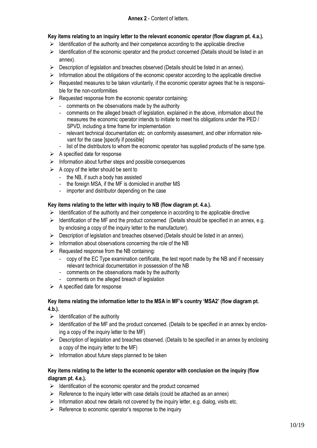## **Key items relating to an inquiry letter to the relevant economic operator (flow diagram pt. 4.a.).**

- $\triangleright$  Identification of the authority and their competence according to the applicable directive
- $\triangleright$  Identification of the economic operator and the product concerned (Details should be listed in an annex).
- $\triangleright$  Description of legislation and breaches observed (Details should be listed in an annex).
- $\triangleright$  Information about the obligations of the economic operator according to the applicable directive
- $\triangleright$  Requested measures to be taken voluntarily, if the economic operator agrees that he is responsible for the non-conformities
- $\triangleright$  Requested response from the economic operator containing:
	- comments on the observations made by the authority
	- comments on the alleged breach of legislation, explained in the above, information about the measures the economic operator intends to initiate to meet his obligations under the PED / SPVD, including a time frame for implementation
	- relevant technical documentation etc. on conformity assessment, and other information relevant for the case [specify if possible]
	- list of the distributors to whom the economic operator has supplied products of the same type.
- $\triangleright$  A specified date for response
- $\triangleright$  Information about further steps and possible consequences
- $\triangleright$  A copy of the letter should be sent to
	- the NB, if such a body has assisted
	- the foreign MSA, if the MF is domiciled in another MS
	- importer and distributor depending on the case

## **Key items relating to the letter with inquiry to NB (flow diagram pt. 4.a.).**

- $\triangleright$  Identification of the authority and their competence in according to the applicable directive
- $\triangleright$  Identification of the MF and the product concerned (Details should be specified in an annex, e.g. by enclosing a copy of the inquiry letter to the manufacturer).
- $\triangleright$  Description of legislation and breaches observed (Details should be listed in an annex).
- $\triangleright$  Information about observations concerning the role of the NB
- $\triangleright$  Requested response from the NB containing:
	- copy of the EC Type examination certificate, the test report made by the NB and if necessary relevant technical documentation in possession of the NB
	- comments on the observations made by the authority
	- comments on the alleged breach of legislation
- $\triangleright$  A specified date for response

## **Key items relating the information letter to the MSA in MF's country 'MSA2' (flow diagram pt. 4.b.).**

- $\triangleright$  Identification of the authority
- $\triangleright$  Identification of the MF and the product concerned. (Details to be specified in an annex by enclosing a copy of the inquiry letter to the MF)
- $\triangleright$  Description of legislation and breaches observed. (Details to be specified in an annex by enclosing a copy of the inquiry letter to the MF)
- $\triangleright$  Information about future steps planned to be taken

## **Key items relating to the letter to the economic operator with conclusion on the inquiry (flow diagram pt. 4.e.).**

- $\triangleright$  Identification of the economic operator and the product concerned
- $\triangleright$  Reference to the inquiry letter with case details (could be attached as an annex)
- $\triangleright$  Information about new details not covered by the inquiry letter, e.g. dialog, visits etc.
- $\triangleright$  Reference to economic operator's response to the inquiry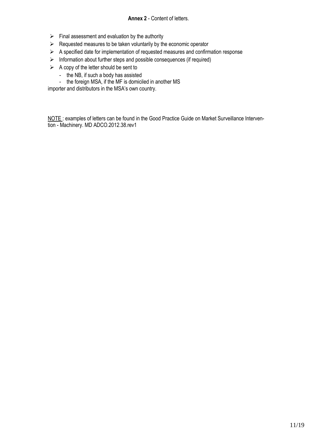## **Annex 2** - Content of letters.

- $\triangleright$  Final assessment and evaluation by the authority
- $\triangleright$  Requested measures to be taken voluntarily by the economic operator
- $\triangleright$  A specified date for implementation of requested measures and confirmation response
- $\triangleright$  Information about further steps and possible consequences (if required)
- $\triangleright$  A copy of the letter should be sent to
	- the NB, if such a body has assisted
	- the foreign MSA, if the MF is domiciled in another MS

importer and distributors in the MSA's own country.

NOTE: examples of letters can be found in the Good Practice Guide on Market Surveillance Intervention - Machinery. MD ADCO.2012.38.rev1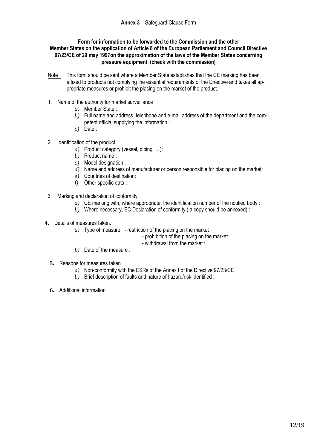#### **Form for information to be forwarded to the Commission and the other Member States on the application of Article 8 of the European Parliament and Council Directive 97/23/CE of 29 may 1997on the approximation of the laws of the Member States concerning pressure equipment. (check with the commission)**

- Note : This form should be sent where a Member State establishes that the CE marking has been affixed to products not complying the essential requirements of the Directive and takes all appropriate measures or prohibit the placing on the market of the product.
- 1. Name of the authority for market surveillance
	- *a)* Member State :
	- *b)* Full name and address, telephone and e-mail address of the department and the competent official supplying the information :
	- *c)* Date :
- 2. Identification of the product
	- *a)* Product category (vessel, piping, …):
	- *b)* Product name :
	- *c)* Model designation :
	- *d)* Name and address of manufacturer or person responsible for placing on the market:
	- *e)* Countries of destination:
	- *f)* Other specific data :
- 3. Marking and declaration of conformity
	- *a)* CE marking with, where appropriate, the identification number of the notified body :
	- *b)* Where necessary, EC Declaration of conformity ( a copy should be annexed) :
- **4.** Details of measures taken.
	- *a)* Type of measure restriction of the placing on the market
		- prohibition of the placing on the market
		- withdrawal from the market :
	- *b)* Date of the measure :
	- **5.** Reasons for measures taken
		- *a)* Non-conformity with the ESRs of the Annex I of the Directive 97/23/CE :
		- *b)* Brief description of faults and nature of hazard/risk identified :
	- **6.** Additional information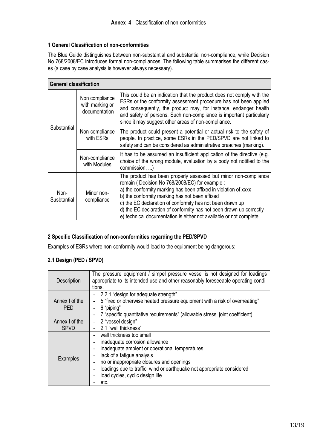## **1 General Classification of non-conformities**

The Blue Guide distinguishes between non-substantial and substantial non-compliance, while Decision No 768/2008/EC introduces formal non-compliances. The following table summarises the different cases (a case by case analysis is however always necessary).

| <b>General classification</b> |                                                    |                                                                                                                                                                                                                                                                                                                                                                                                                                                   |  |
|-------------------------------|----------------------------------------------------|---------------------------------------------------------------------------------------------------------------------------------------------------------------------------------------------------------------------------------------------------------------------------------------------------------------------------------------------------------------------------------------------------------------------------------------------------|--|
| Substantial                   | Non compliance<br>with marking or<br>documentation | This could be an indication that the product does not comply with the<br>ESRs or the conformity assessment procedure has not been applied<br>and consequently, the product may, for instance, endanger health<br>and safety of persons. Such non-compliance is important particularly<br>since it may suggest other areas of non-compliance.                                                                                                      |  |
|                               | Non-compliance<br>with ESRs                        | The product could present a potential or actual risk to the safety of<br>people. In practice, some ESRs in the PED/SPVD are not linked to<br>safety and can be considered as administrative breaches (marking).                                                                                                                                                                                                                                   |  |
|                               | Non-compliance<br>with Modules                     | It has to be assumed an insufficient application of the directive (e.g.<br>choice of the wrong module, evaluation by a body not notified to the<br>commission, )                                                                                                                                                                                                                                                                                  |  |
| Non-<br>Susbtantial           | Minor non-<br>compliance                           | The product has been properly assessed but minor non-compliance<br>remain (Decision No 768/2008/EC) for example :<br>a) the conformity marking has been affixed in violation of xxxx<br>b) the conformity marking has not been affixed<br>c) the EC declaration of conformity has not been drawn up<br>d) the EC declaration of conformity has not been drawn up correctly<br>e) technical documentation is either not available or not complete. |  |

## **2 Specific Classification of non-conformities regarding the PED/SPVD**

Examples of ESRs where non-conformity would lead to the equipment being dangerous:

## **2.1 Design (PED / SPVD)**

| Description                   | The pressure equipment / simpel pressure vessel is not designed for loadings<br>appropriate to its intended use and other reasonably foreseeable operating condi-<br>tions.                                                                                                                                                                                                                                                  |
|-------------------------------|------------------------------------------------------------------------------------------------------------------------------------------------------------------------------------------------------------------------------------------------------------------------------------------------------------------------------------------------------------------------------------------------------------------------------|
| Annex I of the<br><b>PED</b>  | 2.2.1 "design for adequate strength"<br>5 "fired or otherwise heated pressure equipment with a risk of overheating"<br>$\overline{\phantom{0}}$<br>6 "piping"<br>$\overline{a}$<br>7 "specific quantitative requirements" (allowable stress, joint coefficient)<br>$\overline{\phantom{0}}$                                                                                                                                  |
| Annex I of the<br><b>SPVD</b> | 2 "vessel design"<br>$\overline{\phantom{0}}$<br>2.1 "wall thickness"                                                                                                                                                                                                                                                                                                                                                        |
| Examples                      | wall thickness too small<br>inadequate corrosion allowance<br>$\overline{\phantom{0}}$<br>inadequate ambient or operational temperatures<br>lack of a fatigue analysis<br>$\overline{\phantom{0}}$<br>no or inappropriate closures and openings<br>$\overline{\phantom{0}}$<br>loadings due to traffic, wind or earthquake not appropriate considered<br>$\overline{\phantom{0}}$<br>load cycles, cyclic design life<br>etc. |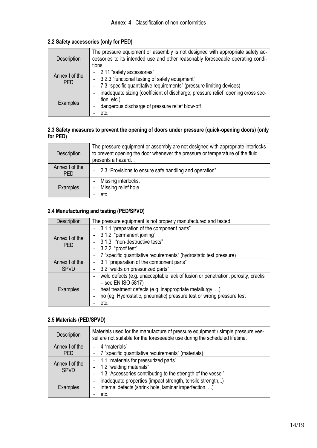## **2.2 Safety accessories (only for PED)**

| Description                  | The pressure equipment or assembly is not designed with appropriate safety ac-<br>cessories to its intended use and other reasonably foreseeable operating condi-<br>tions.           |
|------------------------------|---------------------------------------------------------------------------------------------------------------------------------------------------------------------------------------|
| Annex I of the<br><b>PED</b> | - 2.11 "safety accessories"<br>- 3.2.3 "functional testing of safety equipment"<br>7.3 "specific quantitative requirements" (pressure limiting devices)                               |
| Examples                     | inadequate sizing (coefficient of discharge, pressure relief opening cross sec-<br>$\overline{\phantom{0}}$<br>tion, etc.)<br>dangerous discharge of pressure relief blow-off<br>etc. |

## **2.3 Safety measures to prevent the opening of doors under pressure (quick-opening doors) (only for PED)**

| Description                  | The pressure equipment or assembly are not designed with appropriate interlocks<br>to prevent opening the door whenever the pressure or temperature of the fluid<br>presents a hazard |
|------------------------------|---------------------------------------------------------------------------------------------------------------------------------------------------------------------------------------|
| Annex I of the<br><b>PED</b> | - 2.3 "Provisions to ensure safe handling and operation"                                                                                                                              |
| Examples                     | Missing interlocks.<br>Missing relief hole.<br>etc.                                                                                                                                   |

## **2.4 Manufacturing and testing (PED/SPVD)**

| Description                   | The pressure equipment is not properly manufactured and tested.                                                                                                                                                                                          |  |  |
|-------------------------------|----------------------------------------------------------------------------------------------------------------------------------------------------------------------------------------------------------------------------------------------------------|--|--|
| Annex I of the<br><b>PFD</b>  | - 3.1.1 "preparation of the component parts"<br>3.1.2, "permanent joining"<br>- 3.1.3, "non-destructive tests"<br>- 3.2.2, "proof test"<br>7 "specific quantitative requirements" (hydrostatic test pressure)                                            |  |  |
| Annex I of the<br><b>SPVD</b> | 3.1 "preparation of the component parts"<br>3.2 "welds on pressurized parts"                                                                                                                                                                             |  |  |
| Examples                      | weld defects (e.g. unacceptable lack of fusion or penetration, porosity, cracks<br>$-$ see EN ISO 5817)<br>heat treatment defects (e.g. inappropriate metallurgy, )<br>no (eg. Hydrostatic, pneumatic) pressure test or wrong pressure test<br>٠<br>etc. |  |  |

## **2.5 Materials (PED/SPVD)**

| Description                   | Materials used for the manufacture of pressure equipment / simple pressure ves-<br>sel are not suitable for the foreseeable use during the scheduled lifetime. |  |  |
|-------------------------------|----------------------------------------------------------------------------------------------------------------------------------------------------------------|--|--|
| Annex I of the                | - 4 "materials"                                                                                                                                                |  |  |
| <b>PED</b>                    | 7 "specific quantitative requirements" (materials)                                                                                                             |  |  |
| Annex I of the<br><b>SPVD</b> | - 1.1 "materials for pressurized parts"                                                                                                                        |  |  |
|                               | - 1.2 "welding materials"                                                                                                                                      |  |  |
|                               | 1.3 "Accessories contributing to the strength of the vessel"                                                                                                   |  |  |
|                               | inadequate properties (impact strength, tensile strength,)<br>$\overline{a}$                                                                                   |  |  |
| Examples                      | internal defects (shrink hole, laminar imperfection, )<br>$\qquad \qquad \blacksquare$                                                                         |  |  |
|                               | etc.                                                                                                                                                           |  |  |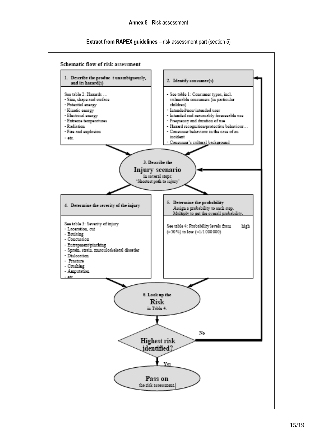#### **Extract from RAPEX guidelines** – risk assessment part (section 5)

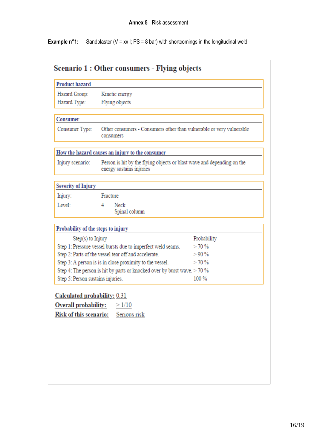**Example n°1:** Sandblaster ( $V = xx$  I;  $PS = 8$  bar) with shortcomings in the longitudinal weld

| Hazard Group:                                               | Kinetic energy                                                                                     |             |
|-------------------------------------------------------------|----------------------------------------------------------------------------------------------------|-------------|
| Hazard Type:                                                | Flying objects                                                                                     |             |
| Consumer                                                    |                                                                                                    |             |
| Consumer Type:                                              | Other consumers - Consumers other than vulnerable or very vulnerable<br>consumers                  |             |
|                                                             | How the hazard causes an injury to the consumer                                                    |             |
| Injury scenario:                                            | Person is hit by the flying objects or blast wave and depending on the<br>energy sustains injuries |             |
| <b>Severity of Injury</b>                                   |                                                                                                    |             |
| Injury:                                                     | Fracture                                                                                           |             |
| Level:                                                      | 4<br>Neck<br>Spinal column                                                                         |             |
| Probability of the steps to injury                          |                                                                                                    |             |
| Step(s) to Injury                                           |                                                                                                    | Probability |
| Step 1: Pressure vessel bursts due to imperfect weld seams. |                                                                                                    | >70%        |
|                                                             | Step 2: Parts of the vessel tear off and accelerate.                                               | >90%        |
|                                                             | Step 3: A person is is in close proximity to the vessel.                                           | >70%        |
|                                                             | Step 4: The person is hit by parts or knocked over by burst wave. $> 70$ %                         |             |
| Step 5: Person sustains injuries.                           |                                                                                                    | $100\%$     |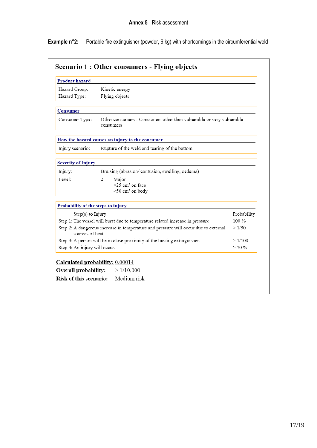**Example n°2:** Portable fire extinguisher (powder, 6 kg) with shortcomings in the circumferential weld

| <b>Product hazard</b>                                                                    |                                                                                     |             |
|------------------------------------------------------------------------------------------|-------------------------------------------------------------------------------------|-------------|
| Hazard Group:                                                                            | Kinetic energy                                                                      |             |
| Hazard Type:                                                                             | Flying objects                                                                      |             |
| Consumer                                                                                 |                                                                                     |             |
| Consumer Type:                                                                           | Other consumers - Consumers other than vulnerable or very vulnerable<br>consumers   |             |
|                                                                                          | How the hazard causes an injury to the consumer                                     |             |
| Injury scenario:                                                                         | Rupture of the weld and tearing of the bottom                                       |             |
| <b>Severity of Injury</b>                                                                |                                                                                     |             |
| Injury:                                                                                  | Bruising (abrasion/ contusion, swelling, oedema)                                    |             |
| Level:                                                                                   | 2<br>Major                                                                          |             |
|                                                                                          | $>25$ cm <sup>2</sup> on face                                                       |             |
|                                                                                          | >50 cm <sup>2</sup> on body                                                         |             |
| Probability of the steps to injury                                                       |                                                                                     |             |
| $Step(s)$ to $Injury$                                                                    |                                                                                     | Probability |
| Step 1: The vessel will burst due to temperature related increase in pressure<br>$100\%$ |                                                                                     |             |
| sources of heat.                                                                         | Step 2: A dangerous increase in temperature and pressure will occur due to external | >1/50       |
|                                                                                          | Step 3: A person will be in close proximity of the busting extinguisher.            | >1/100      |
| Step 4: An injury will occur.                                                            |                                                                                     | > 70%       |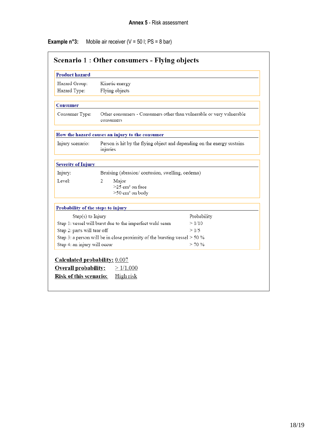**Example n°3:** Mobile air receiver (V = 50 l; PS = 8 bar)

| <b>Product hazard</b>                                    |                                                                                     |             |
|----------------------------------------------------------|-------------------------------------------------------------------------------------|-------------|
| Hazard Group:                                            | Kinetic energy                                                                      |             |
| Hazard Type:                                             | Flying objects                                                                      |             |
| Consumer                                                 |                                                                                     |             |
| Consumer Type:                                           | Other consumers - Consumers other than vulnerable or very vulnerable<br>consumers   |             |
|                                                          | How the hazard causes an injury to the consumer                                     |             |
| Injury scenario:                                         | Person is hit by the flying object and depending on the energy sustains<br>injuries |             |
| <b>Severity of Injury</b>                                |                                                                                     |             |
| Injury:                                                  | Bruising (abrasion/ contusion, swelling, oedema)                                    |             |
| Level:                                                   | 2<br>Major                                                                          |             |
|                                                          | $>25$ cm <sup>2</sup> on face                                                       |             |
|                                                          | >50 cm <sup>2</sup> on body                                                         |             |
| Probability of the steps to injury                       |                                                                                     |             |
| Step(s) to Injury                                        |                                                                                     | Probability |
| Step 1: vessel will burst due to the imperfect weld seam |                                                                                     | >1/10       |
| Step 2: parts will tear off                              |                                                                                     | >1/5        |
|                                                          | Step 3: a person will be in close proximity of the bursting vessel $> 50$ %         |             |
| Step 4: an injury will occur                             |                                                                                     | >70%        |
| Calculated probability: 0.007                            |                                                                                     |             |
| <b>Overall probability:</b>                              | >1/1,000                                                                            |             |
| <b>Risk of this scenario:</b>                            | High risk                                                                           |             |